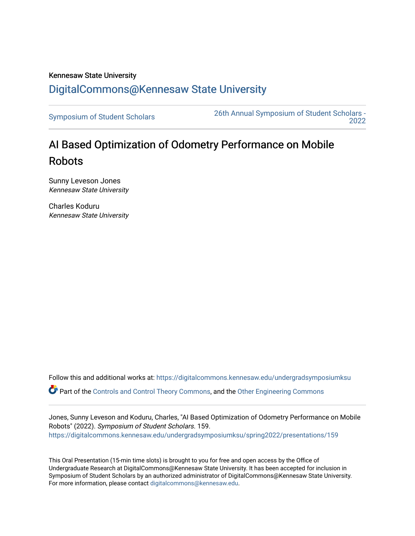## Kennesaw State University [DigitalCommons@Kennesaw State University](https://digitalcommons.kennesaw.edu/)

[Symposium of Student Scholars](https://digitalcommons.kennesaw.edu/undergradsymposiumksu) [26th Annual Symposium of Student Scholars -](https://digitalcommons.kennesaw.edu/undergradsymposiumksu/spring2022)  [2022](https://digitalcommons.kennesaw.edu/undergradsymposiumksu/spring2022) 

## AI Based Optimization of Odometry Performance on Mobile Robots

Sunny Leveson Jones Kennesaw State University

Charles Koduru Kennesaw State University

Follow this and additional works at: [https://digitalcommons.kennesaw.edu/undergradsymposiumksu](https://digitalcommons.kennesaw.edu/undergradsymposiumksu?utm_source=digitalcommons.kennesaw.edu%2Fundergradsymposiumksu%2Fspring2022%2Fpresentations%2F159&utm_medium=PDF&utm_campaign=PDFCoverPages) 

Part of the [Controls and Control Theory Commons,](http://network.bepress.com/hgg/discipline/269?utm_source=digitalcommons.kennesaw.edu%2Fundergradsymposiumksu%2Fspring2022%2Fpresentations%2F159&utm_medium=PDF&utm_campaign=PDFCoverPages) and the [Other Engineering Commons](http://network.bepress.com/hgg/discipline/315?utm_source=digitalcommons.kennesaw.edu%2Fundergradsymposiumksu%2Fspring2022%2Fpresentations%2F159&utm_medium=PDF&utm_campaign=PDFCoverPages)

Jones, Sunny Leveson and Koduru, Charles, "AI Based Optimization of Odometry Performance on Mobile Robots" (2022). Symposium of Student Scholars. 159. [https://digitalcommons.kennesaw.edu/undergradsymposiumksu/spring2022/presentations/159](https://digitalcommons.kennesaw.edu/undergradsymposiumksu/spring2022/presentations/159?utm_source=digitalcommons.kennesaw.edu%2Fundergradsymposiumksu%2Fspring2022%2Fpresentations%2F159&utm_medium=PDF&utm_campaign=PDFCoverPages)

This Oral Presentation (15-min time slots) is brought to you for free and open access by the Office of Undergraduate Research at DigitalCommons@Kennesaw State University. It has been accepted for inclusion in Symposium of Student Scholars by an authorized administrator of DigitalCommons@Kennesaw State University. For more information, please contact [digitalcommons@kennesaw.edu.](mailto:digitalcommons@kennesaw.edu)